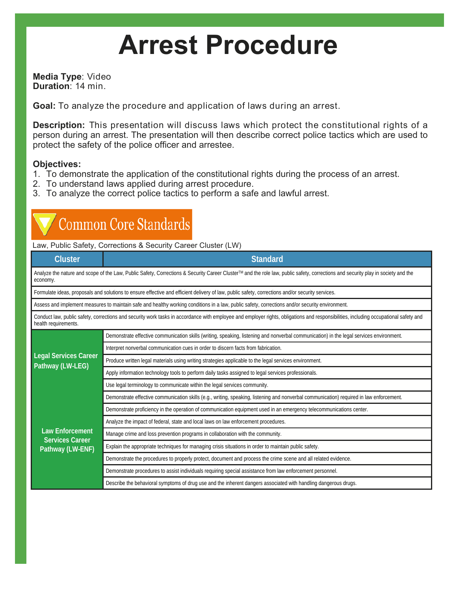# **Arrest Procedure**

**Media Type**: Video **Duration**: 14 min.

**Goal:** To analyze the procedure and application of laws during an arrest.

**Description:** This presentation will discuss laws which protect the constitutional rights of a person during an arrest. The presentation will then describe correct police tactics which are used to protect the safety of the police officer and arrestee.

## **Objectives:**

- 1. To demonstrate the application of the constitutional rights during the process of an arrest.
- 2. To understand laws applied during arrest procedure.
- 3. To analyze the correct police tactics to perform a safe and lawful arrest.

# **Common Core Standards**

Law, Public Safety, Corrections & Security Career Cluster (LW)

| <b>Cluster</b>                                                                                                                                                                                               | <b>Standard</b>                                                                                                                          |  |  |  |  |
|--------------------------------------------------------------------------------------------------------------------------------------------------------------------------------------------------------------|------------------------------------------------------------------------------------------------------------------------------------------|--|--|--|--|
| Analyze the nature and scope of the Law, Public Safety, Corrections & Security Career Cluster™ and the role law, public safety, corrections and security play in society and the<br>economy.                 |                                                                                                                                          |  |  |  |  |
| Formulate ideas, proposals and solutions to ensure effective and efficient delivery of law, public safety, corrections and/or security services.                                                             |                                                                                                                                          |  |  |  |  |
| Assess and implement measures to maintain safe and healthy working conditions in a law, public safety, corrections and/or security environment.                                                              |                                                                                                                                          |  |  |  |  |
| Conduct law, public safety, corrections and security work tasks in accordance with employee and employer rights, obligations and responsibilities, including occupational safety and<br>health requirements. |                                                                                                                                          |  |  |  |  |
| <b>Legal Services Career</b><br>Pathway (LW-LEG)                                                                                                                                                             | Demonstrate effective communication skills (writing, speaking, listening and nonverbal communication) in the legal services environment. |  |  |  |  |
|                                                                                                                                                                                                              | Interpret nonverbal communication cues in order to discern facts from fabrication.                                                       |  |  |  |  |
|                                                                                                                                                                                                              | Produce written legal materials using writing strategies applicable to the legal services environment.                                   |  |  |  |  |
|                                                                                                                                                                                                              | Apply information technology tools to perform daily tasks assigned to legal services professionals.                                      |  |  |  |  |
|                                                                                                                                                                                                              | Use legal terminology to communicate within the legal services community.                                                                |  |  |  |  |
| <b>Law Enforcement</b><br><b>Services Career</b><br>Pathway (LW-ENF)                                                                                                                                         | Demonstrate effective communication skills (e.g., writing, speaking, listening and nonverbal communication) required in law enforcement. |  |  |  |  |
|                                                                                                                                                                                                              | Demonstrate proficiency in the operation of communication equipment used in an emergency telecommunications center.                      |  |  |  |  |
|                                                                                                                                                                                                              | Analyze the impact of federal, state and local laws on law enforcement procedures.                                                       |  |  |  |  |
|                                                                                                                                                                                                              | Manage crime and loss prevention programs in collaboration with the community.                                                           |  |  |  |  |
|                                                                                                                                                                                                              | Explain the appropriate techniques for managing crisis situations in order to maintain public safety.                                    |  |  |  |  |
|                                                                                                                                                                                                              | Demonstrate the procedures to properly protect, document and process the crime scene and all related evidence.                           |  |  |  |  |
|                                                                                                                                                                                                              | Demonstrate procedures to assist individuals requiring special assistance from law enforcement personnel.                                |  |  |  |  |
|                                                                                                                                                                                                              | Describe the behavioral symptoms of drug use and the inherent dangers associated with handling dangerous drugs.                          |  |  |  |  |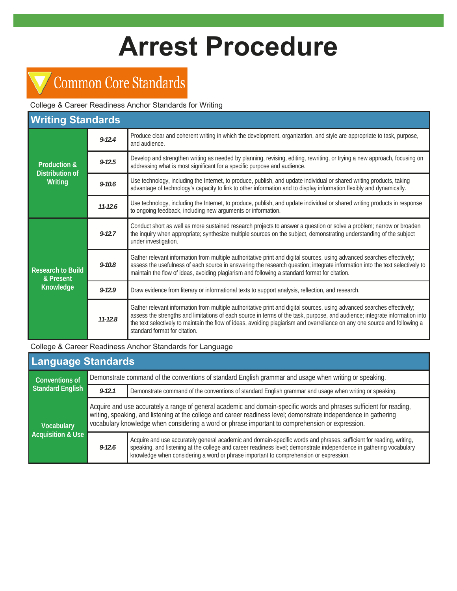# **Arrest Procedure**

# Common Core Standards

College & Career Readiness Anchor Standards for Writing

| <b>Writing Standards</b>                                     |             |                                                                                                                                                                                                                                                                                                                                                                                                                       |  |  |
|--------------------------------------------------------------|-------------|-----------------------------------------------------------------------------------------------------------------------------------------------------------------------------------------------------------------------------------------------------------------------------------------------------------------------------------------------------------------------------------------------------------------------|--|--|
| <b>Production &amp;</b><br><b>Distribution of</b><br>Writing | $9 - 12.4$  | Produce clear and coherent writing in which the development, organization, and style are appropriate to task, purpose,<br>and audience.                                                                                                                                                                                                                                                                               |  |  |
|                                                              | $9 - 12.5$  | Develop and strengthen writing as needed by planning, revising, editing, rewriting, or trying a new approach, focusing on<br>addressing what is most significant for a specific purpose and audience.                                                                                                                                                                                                                 |  |  |
|                                                              | $9 - 10.6$  | Use technology, including the Internet, to produce, publish, and update individual or shared writing products, taking<br>advantage of technology's capacity to link to other information and to display information flexibly and dynamically.                                                                                                                                                                         |  |  |
|                                                              | $11 - 12.6$ | Use technology, including the Internet, to produce, publish, and update individual or shared writing products in response<br>to ongoing feedback, including new arguments or information.                                                                                                                                                                                                                             |  |  |
| <b>Research to Build</b><br>& Present<br>Knowledge           | $9 - 12.7$  | Conduct short as well as more sustained research projects to answer a question or solve a problem; narrow or broaden<br>the inquiry when appropriate; synthesize multiple sources on the subject, demonstrating understanding of the subject<br>under investigation.                                                                                                                                                  |  |  |
|                                                              | $9 - 10.8$  | Gather relevant information from multiple authoritative print and digital sources, using advanced searches effectively;<br>assess the usefulness of each source in answering the research question; integrate information into the text selectively to<br>maintain the flow of ideas, avoiding plagiarism and following a standard format for citation.                                                               |  |  |
|                                                              | $9 - 12.9$  | Draw evidence from literary or informational texts to support analysis, reflection, and research.                                                                                                                                                                                                                                                                                                                     |  |  |
|                                                              | $11 - 12.8$ | Gather relevant information from multiple authoritative print and digital sources, using advanced searches effectively;<br>assess the strengths and limitations of each source in terms of the task, purpose, and audience; integrate information into<br>the text selectively to maintain the flow of ideas, avoiding plagiarism and overreliance on any one source and following a<br>standard format for citation. |  |  |

College & Career Readiness Anchor Standards for Language

| <b>Language Standards</b>                         |                                                                                                                                                                                                                                                                                                                                               |                                                                                                                                                                                                                                                                                                                                     |  |  |  |
|---------------------------------------------------|-----------------------------------------------------------------------------------------------------------------------------------------------------------------------------------------------------------------------------------------------------------------------------------------------------------------------------------------------|-------------------------------------------------------------------------------------------------------------------------------------------------------------------------------------------------------------------------------------------------------------------------------------------------------------------------------------|--|--|--|
| <b>Conventions of</b><br><b>Standard English</b>  | Demonstrate command of the conventions of standard English grammar and usage when writing or speaking.                                                                                                                                                                                                                                        |                                                                                                                                                                                                                                                                                                                                     |  |  |  |
|                                                   | $9 - 12.1$                                                                                                                                                                                                                                                                                                                                    | Demonstrate command of the conventions of standard English grammar and usage when writing or speaking.                                                                                                                                                                                                                              |  |  |  |
| <b>Vocabulary</b><br><b>Acquisition &amp; Use</b> | Acquire and use accurately a range of general academic and domain-specific words and phrases sufficient for reading,<br>writing, speaking, and listening at the college and career readiness level; demonstrate independence in gathering<br>vocabulary knowledge when considering a word or phrase important to comprehension or expression. |                                                                                                                                                                                                                                                                                                                                     |  |  |  |
|                                                   | $9 - 12.6$                                                                                                                                                                                                                                                                                                                                    | Acquire and use accurately general academic and domain-specific words and phrases, sufficient for reading, writing,<br>speaking, and listening at the college and career readiness level; demonstrate independence in gathering vocabulary<br>knowledge when considering a word or phrase important to comprehension or expression. |  |  |  |